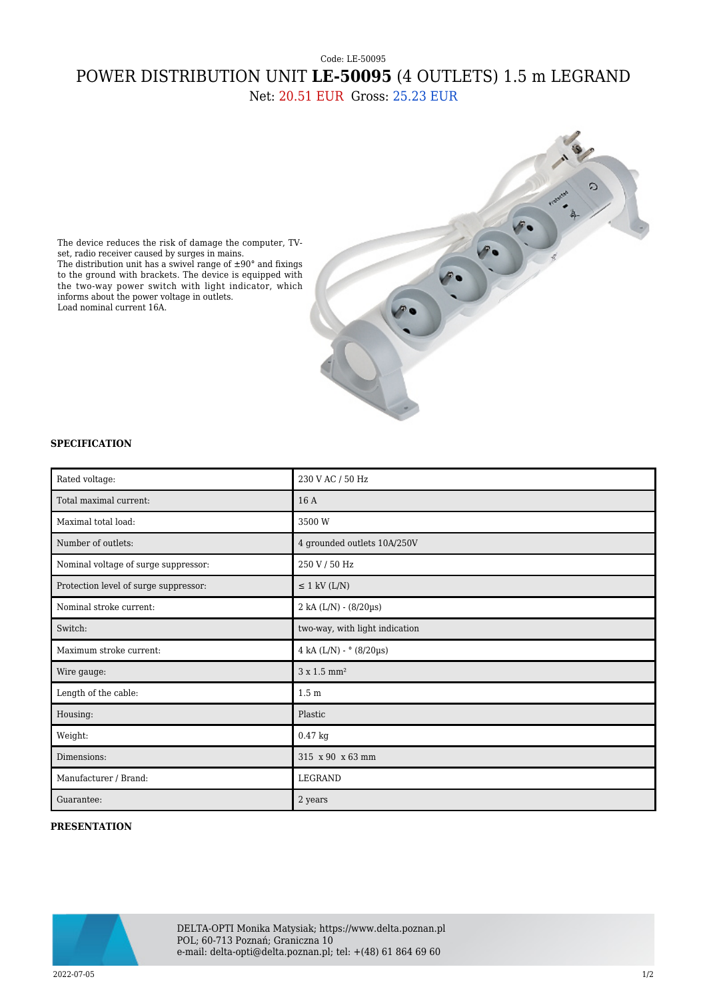## Code: LE-50095 POWER DISTRIBUTION UNIT **LE-50095** (4 OUTLETS) 1.5 m LEGRAND

Net: 20.51 EUR Gross: 25.23 EUR



The device reduces the risk of damage the computer, TVset, radio receiver caused by surges in mains. The distribution unit has a swivel range of  $\pm 90^\circ$  and fixings to the ground with brackets. The device is equipped with the two-way power switch with light indicator, which informs about the power voltage in outlets. Load nominal current 16A.

## **SPECIFICATION**

| Rated voltage:                        | 230 V AC / 50 Hz                 |
|---------------------------------------|----------------------------------|
| Total maximal current:                | 16A                              |
| Maximal total load:                   | 3500 W                           |
| Number of outlets:                    | 4 grounded outlets 10A/250V      |
| Nominal voltage of surge suppressor:  | 250 V / 50 Hz                    |
| Protection level of surge suppressor: | $\leq$ 1 kV (L/N)                |
| Nominal stroke current:               | 2 kA (L/N) - (8/20µs)            |
| Switch:                               | two-way, with light indication   |
| Maximum stroke current:               | 4 kA (L/N) - $^{\circ}$ (8/20µs) |
| Wire gauge:                           | 3 x 1.5 mm <sup>2</sup>          |
| Length of the cable:                  | 1.5 <sub>m</sub>                 |
| Housing:                              | Plastic                          |
| Weight:                               | 0.47 kg                          |
| Dimensions:                           | 315 x 90 x 63 mm                 |
| Manufacturer / Brand:                 | <b>LEGRAND</b>                   |
| Guarantee:                            | 2 years                          |

## **PRESENTATION**



DELTA-OPTI Monika Matysiak; https://www.delta.poznan.pl POL; 60-713 Poznań; Graniczna 10 e-mail: delta-opti@delta.poznan.pl; tel: +(48) 61 864 69 60

2022-07-05 1/2